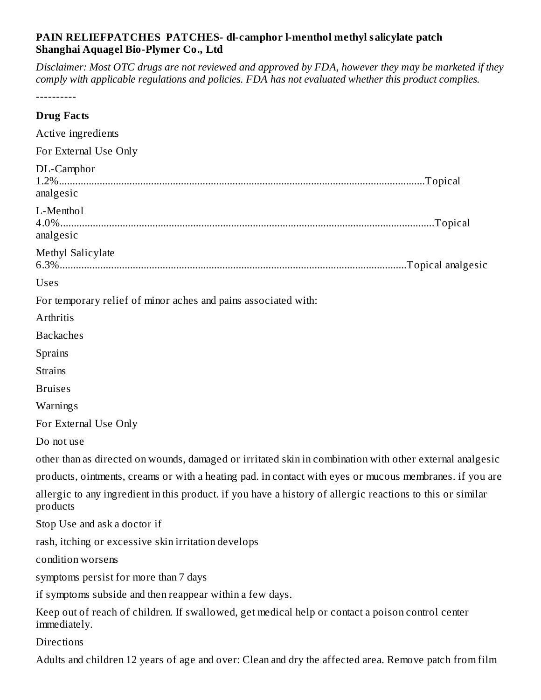## **PAIN RELIEFPATCHES PATCHES- dl-camphor l-menthol methyl salicylate patch Shanghai Aquagel Bio-Plymer Co., Ltd**

Disclaimer: Most OTC drugs are not reviewed and approved by FDA, however they may be marketed if they *comply with applicable regulations and policies. FDA has not evaluated whether this product complies.*

----------

| <b>Drug Facts</b>                                                                                                      |
|------------------------------------------------------------------------------------------------------------------------|
| Active ingredients                                                                                                     |
| For External Use Only                                                                                                  |
| DL-Camphor<br>analgesic                                                                                                |
| L-Menthol<br>analgesic                                                                                                 |
| Methyl Salicylate                                                                                                      |
| <b>Uses</b>                                                                                                            |
| For temporary relief of minor aches and pains associated with:                                                         |
| Arthritis                                                                                                              |
| <b>Backaches</b>                                                                                                       |
| Sprains                                                                                                                |
| <b>Strains</b>                                                                                                         |
| <b>Bruises</b>                                                                                                         |
| Warnings                                                                                                               |
| For External Use Only                                                                                                  |
| Do not use                                                                                                             |
| other than as directed on wounds, damaged or irritated skin in combination with other external analgesic               |
| products, ointments, creams or with a heating pad. in contact with eyes or mucous membranes. if you are                |
| allergic to any ingredient in this product. if you have a history of allergic reactions to this or similar<br>products |
| Stop Use and ask a doctor if                                                                                           |
| rash, itching or excessive skin irritation develops                                                                    |
| condition worsens                                                                                                      |
| symptoms persist for more than 7 days                                                                                  |
| if symptoms subside and then reappear within a few days.                                                               |
| Keep out of reach of children. If swallowed, get medical help or contact a poison control center<br>immediately.       |
| Directions                                                                                                             |
| Adults and children 12 years of age and over: Clean and dry the affected area. Remove patch from film                  |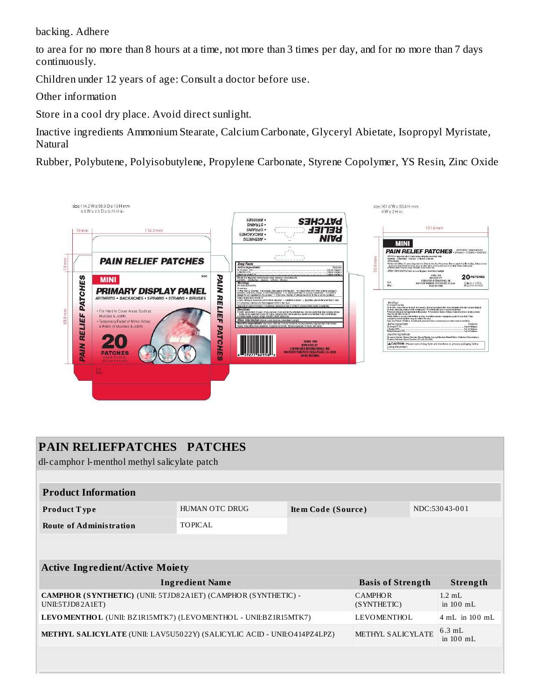backing. Adhere

to area for no more than 8 hours at a time, not more than 3 times per day, and for no more than 7 days continuously.

Children under 12 years of age: Consult a doctor before use.

Other information

Store in a cool dry place. Avoid direct sunlight.

Inactive ingredients Ammonium Stearate, Calcium Carbonate, Glyceryl Abietate, Isopropyl Myristate, **Natural** 

Rubber, Polybutene, Polyisobutylene, Propylene Carbonate, Styrene Copolymer, YS Resin, Zinc Oxide



| <b>PAIN RELIEFPATCHES PATCHES</b><br>dl-camphor l-menthol methyl salicylate patch |                |                    |                               |                         |                          |  |  |  |
|-----------------------------------------------------------------------------------|----------------|--------------------|-------------------------------|-------------------------|--------------------------|--|--|--|
|                                                                                   |                |                    |                               |                         |                          |  |  |  |
| <b>Product Information</b>                                                        |                |                    |                               |                         |                          |  |  |  |
| Product Type                                                                      | HUMAN OTC DRUG | Item Code (Source) |                               | NDC:53043-001           |                          |  |  |  |
| <b>Route of Administration</b>                                                    | <b>TOPICAL</b> |                    |                               |                         |                          |  |  |  |
|                                                                                   |                |                    |                               |                         |                          |  |  |  |
|                                                                                   |                |                    |                               |                         |                          |  |  |  |
| <b>Active Ingredient/Active Moiety</b>                                            |                |                    |                               |                         |                          |  |  |  |
| <b>Ingredient Name</b>                                                            |                |                    | <b>Basis of Strength</b>      |                         | Strength                 |  |  |  |
| CAMPHOR (SYNTHETIC) (UNII: 5TJD82A1ET) (CAMPHOR (SYNTHETIC) -<br>UNII:5TJD82A1ET) |                |                    | <b>CAMPHOR</b><br>(SYNTHETIC) |                         | $1.2$ mL<br>in 100 mL    |  |  |  |
| LEVOMENTHOL (UNII: BZ1R15MTK7) (LEVOMENTHOL - UNII:BZ1R15MTK7)                    |                |                    | <b>LEVOMENTHOL</b>            |                         | $4 \text{ mL}$ in 100 mL |  |  |  |
| <b>METHYL SALICYLATE</b> (UNII: LAV5U5022Y) (SALICYLIC ACID - UNII:O414PZ4LPZ)    |                | METHYL SALICYLATE  |                               | $6.3$ mL<br>in $100$ mL |                          |  |  |  |
|                                                                                   |                |                    |                               |                         |                          |  |  |  |